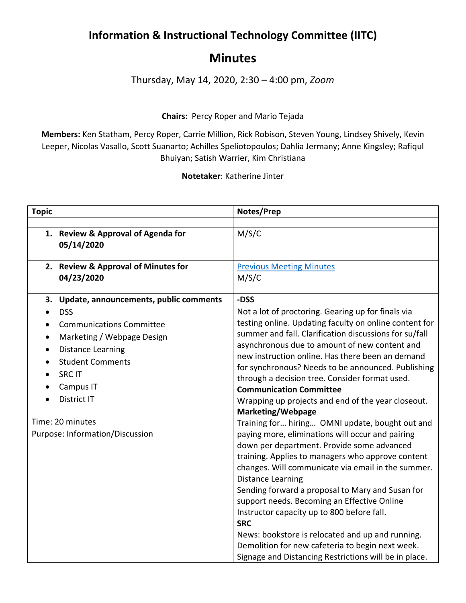## **Information & Instructional Technology Committee (IITC)**

## **Minutes**

Thursday, May 14, 2020, 2:30 – 4:00 pm, *Zoom*

## **Chairs:** Percy Roper and Mario Tejada

**Members:** Ken Statham, Percy Roper, Carrie Million, Rick Robison, Steven Young, Lindsey Shively, Kevin Leeper, Nicolas Vasallo, Scott Suanarto; Achilles Speliotopoulos; Dahlia Jermany; Anne Kingsley; Rafiqul Bhuiyan; Satish Warrier, Kim Christiana

**Notetaker**: Katherine Jinter

| <b>Topic</b>     |                                           | Notes/Prep                                                                  |
|------------------|-------------------------------------------|-----------------------------------------------------------------------------|
|                  |                                           |                                                                             |
|                  | 1. Review & Approval of Agenda for        | M/S/C                                                                       |
|                  | 05/14/2020                                |                                                                             |
|                  |                                           |                                                                             |
|                  | 2. Review & Approval of Minutes for       | <b>Previous Meeting Minutes</b>                                             |
|                  | 04/23/2020                                | M/S/C                                                                       |
|                  | 3. Update, announcements, public comments | -DSS                                                                        |
|                  | <b>DSS</b>                                | Not a lot of proctoring. Gearing up for finals via                          |
| $\bullet$        | <b>Communications Committee</b>           | testing online. Updating faculty on online content for                      |
| $\bullet$        | Marketing / Webpage Design                | summer and fall. Clarification discussions for su/fall                      |
| $\bullet$        | <b>Distance Learning</b>                  | asynchronous due to amount of new content and                               |
| $\bullet$        | <b>Student Comments</b>                   | new instruction online. Has there been an demand                            |
|                  | <b>SRCIT</b>                              | for synchronous? Needs to be announced. Publishing                          |
|                  | Campus IT                                 | through a decision tree. Consider format used.                              |
|                  | <b>District IT</b>                        | <b>Communication Committee</b>                                              |
|                  |                                           | Wrapping up projects and end of the year closeout.                          |
| Time: 20 minutes |                                           | <b>Marketing/Webpage</b><br>Training for hiring OMNI update, bought out and |
|                  | Purpose: Information/Discussion           | paying more, eliminations will occur and pairing                            |
|                  |                                           | down per department. Provide some advanced                                  |
|                  |                                           | training. Applies to managers who approve content                           |
|                  |                                           | changes. Will communicate via email in the summer.                          |
|                  |                                           | <b>Distance Learning</b>                                                    |
|                  |                                           | Sending forward a proposal to Mary and Susan for                            |
|                  |                                           | support needs. Becoming an Effective Online                                 |
|                  |                                           | Instructor capacity up to 800 before fall.                                  |
|                  |                                           | <b>SRC</b>                                                                  |
|                  |                                           | News: bookstore is relocated and up and running.                            |
|                  |                                           | Demolition for new cafeteria to begin next week.                            |
|                  |                                           | Signage and Distancing Restrictions will be in place.                       |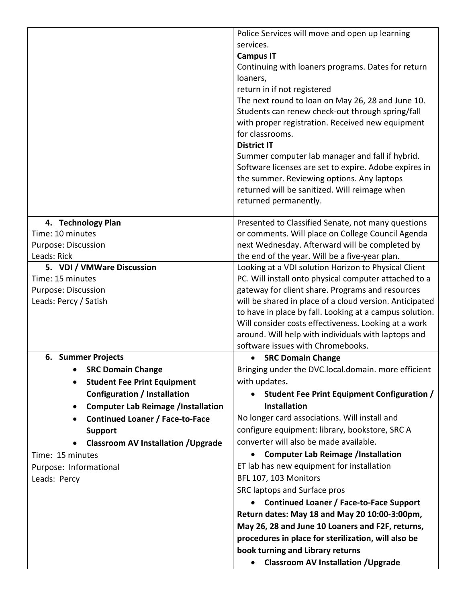|                                                        | Police Services will move and open up learning                                           |
|--------------------------------------------------------|------------------------------------------------------------------------------------------|
|                                                        | services.                                                                                |
|                                                        | <b>Campus IT</b>                                                                         |
|                                                        | Continuing with loaners programs. Dates for return                                       |
|                                                        | loaners,                                                                                 |
|                                                        | return in if not registered                                                              |
|                                                        | The next round to loan on May 26, 28 and June 10.                                        |
|                                                        | Students can renew check-out through spring/fall                                         |
|                                                        | with proper registration. Received new equipment                                         |
|                                                        | for classrooms.                                                                          |
|                                                        | <b>District IT</b>                                                                       |
|                                                        | Summer computer lab manager and fall if hybrid.                                          |
|                                                        | Software licenses are set to expire. Adobe expires in                                    |
|                                                        | the summer. Reviewing options. Any laptops                                               |
|                                                        | returned will be sanitized. Will reimage when                                            |
|                                                        | returned permanently.                                                                    |
| 4. Technology Plan                                     | Presented to Classified Senate, not many questions                                       |
| Time: 10 minutes                                       | or comments. Will place on College Council Agenda                                        |
| Purpose: Discussion                                    | next Wednesday. Afterward will be completed by                                           |
| Leads: Rick                                            | the end of the year. Will be a five-year plan.                                           |
| 5. VDI / VMWare Discussion                             | Looking at a VDI solution Horizon to Physical Client                                     |
| Time: 15 minutes                                       | PC. Will install onto physical computer attached to a                                    |
| Purpose: Discussion                                    | gateway for client share. Programs and resources                                         |
| Leads: Percy / Satish                                  | will be shared in place of a cloud version. Anticipated                                  |
|                                                        | to have in place by fall. Looking at a campus solution.                                  |
|                                                        | Will consider costs effectiveness. Looking at a work                                     |
|                                                        | around. Will help with individuals with laptops and<br>software issues with Chromebooks. |
| 6. Summer Projects                                     | <b>SRC Domain Change</b>                                                                 |
| <b>SRC Domain Change</b>                               | Bringing under the DVC.local.domain. more efficient                                      |
| <b>Student Fee Print Equipment</b>                     | with updates.                                                                            |
| <b>Configuration / Installation</b>                    | Student Fee Print Equipment Configuration /                                              |
| <b>Computer Lab Reimage /Installation</b><br>$\bullet$ | <b>Installation</b>                                                                      |
| <b>Continued Loaner / Face-to-Face</b><br>$\bullet$    | No longer card associations. Will install and                                            |
| <b>Support</b>                                         | configure equipment: library, bookstore, SRC A                                           |
| <b>Classroom AV Installation / Upgrade</b>             | converter will also be made available.                                                   |
| Time: 15 minutes                                       | <b>Computer Lab Reimage /Installation</b><br>$\bullet$                                   |
| Purpose: Informational                                 | ET lab has new equipment for installation                                                |
| Leads: Percy                                           | BFL 107, 103 Monitors                                                                    |
|                                                        | SRC laptops and Surface pros                                                             |
|                                                        | <b>Continued Loaner / Face-to-Face Support</b>                                           |
|                                                        | Return dates: May 18 and May 20 10:00-3:00pm,                                            |
|                                                        | May 26, 28 and June 10 Loaners and F2F, returns,                                         |
|                                                        | procedures in place for sterilization, will also be                                      |
|                                                        | book turning and Library returns                                                         |
|                                                        | <b>Classroom AV Installation / Upgrade</b><br>$\bullet$                                  |